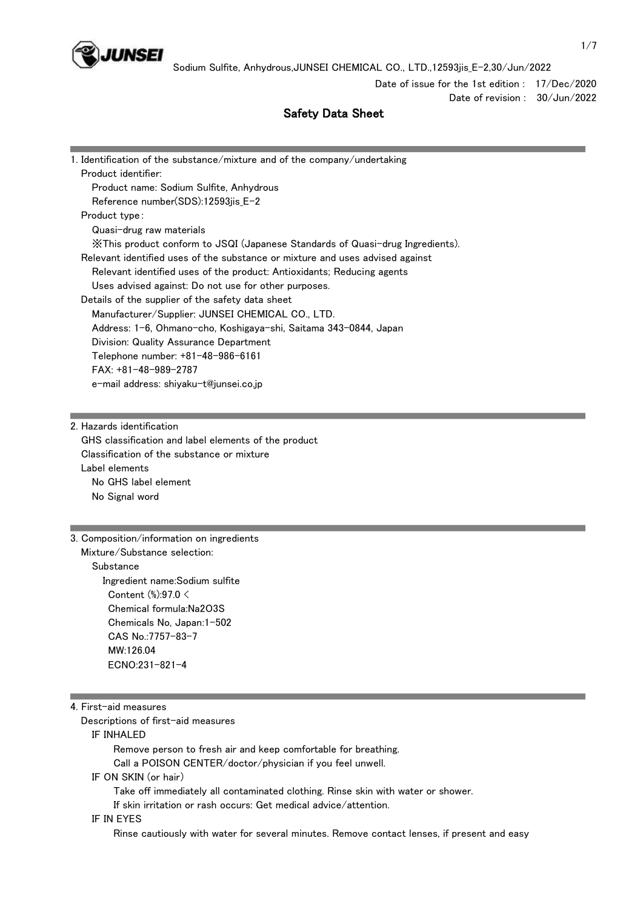

Date of issue for the 1st edition : 17/Dec/2020 Date of revision : 30/Jun/2022

# Safety Data Sheet

| 1. Identification of the substance/mixture and of the company/undertaking     |
|-------------------------------------------------------------------------------|
| Product identifier:                                                           |
| Product name: Sodium Sulfite, Anhydrous                                       |
| Reference number(SDS):12593jis E-2                                            |
| Product type:                                                                 |
| Quasi-drug raw materials                                                      |
| ※This product conform to JSQI (Japanese Standards of Quasi-drug Ingredients). |
| Relevant identified uses of the substance or mixture and uses advised against |
| Relevant identified uses of the product: Antioxidants; Reducing agents        |
| Uses advised against: Do not use for other purposes.                          |
| Details of the supplier of the safety data sheet                              |
| Manufacturer/Supplier: JUNSEI CHEMICAL CO., LTD.                              |
| Address: 1-6, Ohmano-cho, Koshigaya-shi, Saitama 343-0844, Japan              |
| Division: Quality Assurance Department                                        |
| Telephone number: +81-48-986-6161                                             |
| $FAX: +81-48-989-2787$                                                        |
| e-mail address: shiyaku-t@junsei.co.jp                                        |

2. Hazards identification GHS classification and label elements of the product Classification of the substance or mixture Label elements No GHS label element No Signal word

3. Composition/information on ingredients Mixture/Substance selection: **Substance**  Ingredient name:Sodium sulfite Content (%):97.0 < Chemical formula:Na2O3S Chemicals No, Japan:1-502 CAS No.:7757-83-7 MW:126.04 ECNO:231-821-4

#### 4. First-aid measures

Descriptions of first-aid measures

IF INHALED

 Remove person to fresh air and keep comfortable for breathing. Call a POISON CENTER/doctor/physician if you feel unwell.

### IF ON SKIN (or hair)

Take off immediately all contaminated clothing. Rinse skin with water or shower.

If skin irritation or rash occurs: Get medical advice/attention.

#### IF IN EYES

Rinse cautiously with water for several minutes. Remove contact lenses, if present and easy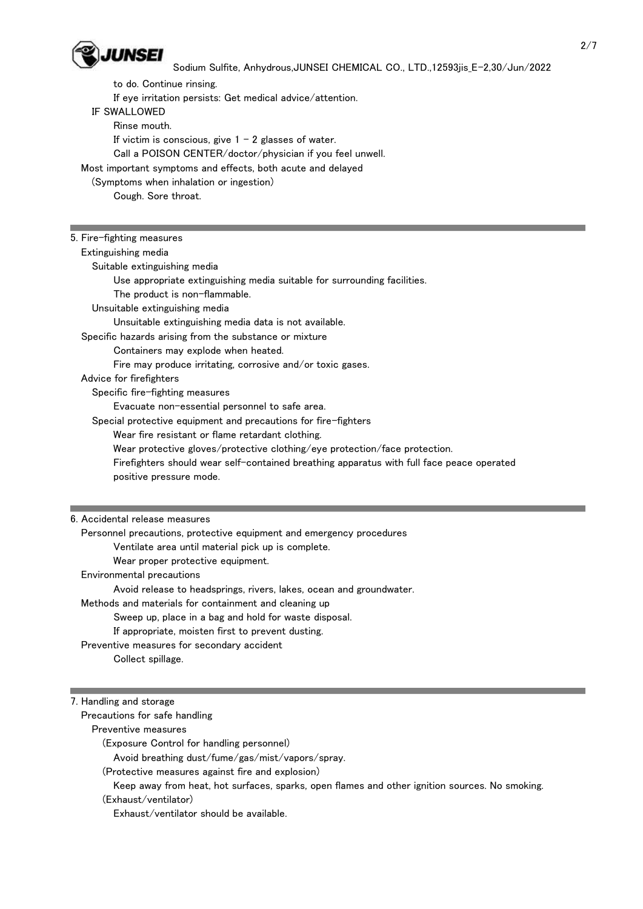

 to do. Continue rinsing. If eye irritation persists: Get medical advice/attention. IF SWALLOWED Rinse mouth. If victim is conscious, give  $1 - 2$  glasses of water. Call a POISON CENTER/doctor/physician if you feel unwell. Most important symptoms and effects, both acute and delayed (Symptoms when inhalation or ingestion) Cough. Sore throat.

| 5. Fire-fighting measures                                                                                            |
|----------------------------------------------------------------------------------------------------------------------|
| Extinguishing media                                                                                                  |
| Suitable extinguishing media                                                                                         |
| Use appropriate extinguishing media suitable for surrounding facilities.                                             |
| The product is non-flammable.                                                                                        |
| Unsuitable extinguishing media                                                                                       |
| Unsuitable extinguishing media data is not available.                                                                |
| Specific hazards arising from the substance or mixture                                                               |
| Containers may explode when heated.                                                                                  |
| Fire may produce irritating, corrosive and/or toxic gases.                                                           |
| Advice for firefighters                                                                                              |
| Specific fire-fighting measures                                                                                      |
| Evacuate non-essential personnel to safe area.                                                                       |
| Special protective equipment and precautions for fire-fighters                                                       |
| Wear fire resistant or flame retardant clothing.                                                                     |
| Wear protective gloves/protective clothing/eye protection/face protection.                                           |
| Firefighters should wear self-contained breathing apparatus with full face peace operated<br>positive pressure mode. |
|                                                                                                                      |
|                                                                                                                      |

# 6. Accidental release measures

 Personnel precautions, protective equipment and emergency procedures Ventilate area until material pick up is complete. Wear proper protective equipment. Environmental precautions Avoid release to headsprings, rivers, lakes, ocean and groundwater. Methods and materials for containment and cleaning up Sweep up, place in a bag and hold for waste disposal. If appropriate, moisten first to prevent dusting. Preventive measures for secondary accident Collect spillage.

# 7. Handling and storage

Precautions for safe handling

Preventive measures

(Exposure Control for handling personnel)

Avoid breathing dust/fume/gas/mist/vapors/spray.

(Protective measures against fire and explosion)

Keep away from heat, hot surfaces, sparks, open flames and other ignition sources. No smoking.

(Exhaust/ventilator)

Exhaust/ventilator should be available.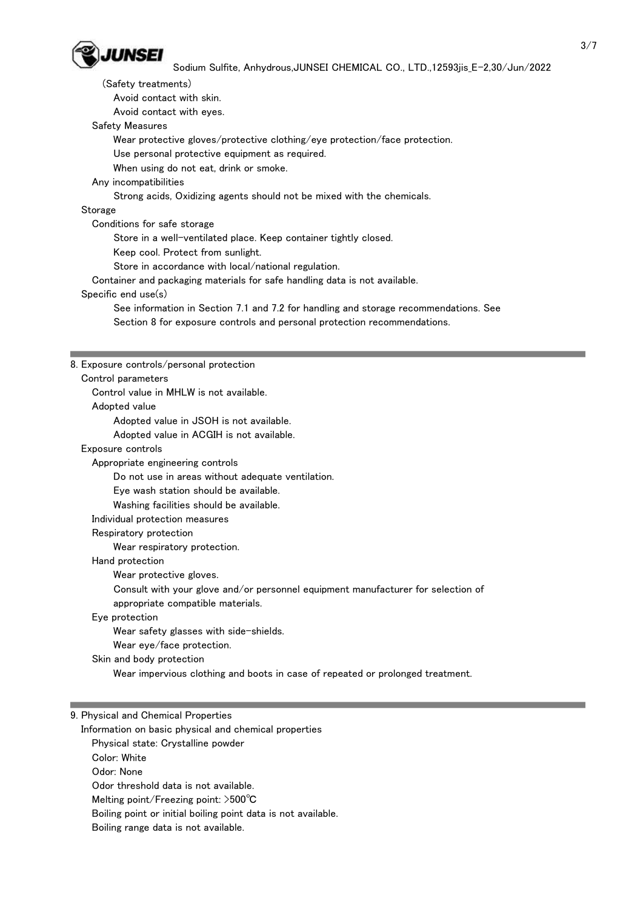

 (Safety treatments) Avoid contact with skin.

Avoid contact with eyes.

Safety Measures

Wear protective gloves/protective clothing/eye protection/face protection.

Use personal protective equipment as required.

When using do not eat, drink or smoke.

# Any incompatibilities

Strong acids, Oxidizing agents should not be mixed with the chemicals.

# **Storage**

Conditions for safe storage

Store in a well-ventilated place. Keep container tightly closed.

Keep cool. Protect from sunlight.

Store in accordance with local/national regulation.

Container and packaging materials for safe handling data is not available.

### Specific end use(s)

 See information in Section 7.1 and 7.2 for handling and storage recommendations. See Section 8 for exposure controls and personal protection recommendations.

### 8. Exposure controls/personal protection

 Control parameters Control value in MHLW is not available. Adopted value Adopted value in JSOH is not available. Adopted value in ACGIH is not available. Exposure controls Appropriate engineering controls Do not use in areas without adequate ventilation. Eye wash station should be available.

Washing facilities should be available.

Individual protection measures

Respiratory protection

Wear respiratory protection.

Hand protection

Wear protective gloves.

Consult with your glove and/or personnel equipment manufacturer for selection of

appropriate compatible materials.

Eye protection

Wear safety glasses with side-shields.

Wear eye/face protection.

Skin and body protection

Wear impervious clothing and boots in case of repeated or prolonged treatment.

### 9. Physical and Chemical Properties

 Information on basic physical and chemical properties Physical state: Crystalline powder Color: White Odor: None Odor threshold data is not available. Melting point/Freezing point: >500℃ Boiling point or initial boiling point data is not available. Boiling range data is not available.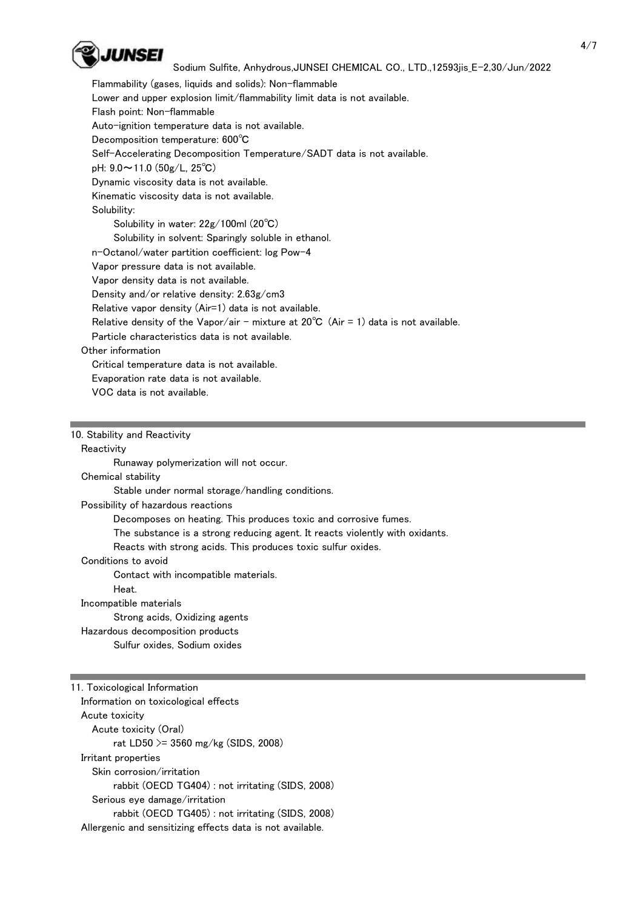

 Flammability (gases, liquids and solids): Non-flammable Lower and upper explosion limit/flammability limit data is not available. Flash point: Non-flammable Auto-ignition temperature data is not available. Decomposition temperature: 600℃ Self-Accelerating Decomposition Temperature/SADT data is not available. pH: 9.0~11.0 (50g/L, 25℃) Dynamic viscosity data is not available. Kinematic viscosity data is not available. Solubility: Solubility in water: 22g/100ml (20℃) Solubility in solvent: Sparingly soluble in ethanol. n-Octanol/water partition coefficient: log Pow-4 Vapor pressure data is not available. Vapor density data is not available. Density and/or relative density: 2.63g/cm3 Relative vapor density (Air=1) data is not available. Relative density of the Vapor/air - mixture at  $20^{\circ}C$  (Air = 1) data is not available. Particle characteristics data is not available. Other information Critical temperature data is not available. Evaporation rate data is not available. VOC data is not available.

#### 10. Stability and Reactivity

#### **Reactivity**

Runaway polymerization will not occur.

### Chemical stability

Stable under normal storage/handling conditions.

Possibility of hazardous reactions

Decomposes on heating. This produces toxic and corrosive fumes.

The substance is a strong reducing agent. It reacts violently with oxidants.

Reacts with strong acids. This produces toxic sulfur oxides.

#### Conditions to avoid

Contact with incompatible materials.

Heat.

#### Incompatible materials

Strong acids, Oxidizing agents

Hazardous decomposition products

Sulfur oxides, Sodium oxides

11. Toxicological Information Information on toxicological effects Acute toxicity Acute toxicity (Oral) rat LD50 >= 3560 mg/kg (SIDS, 2008) Irritant properties Skin corrosion/irritation rabbit (OECD TG404) : not irritating (SIDS, 2008) Serious eye damage/irritation rabbit (OECD TG405) : not irritating (SIDS, 2008) Allergenic and sensitizing effects data is not available.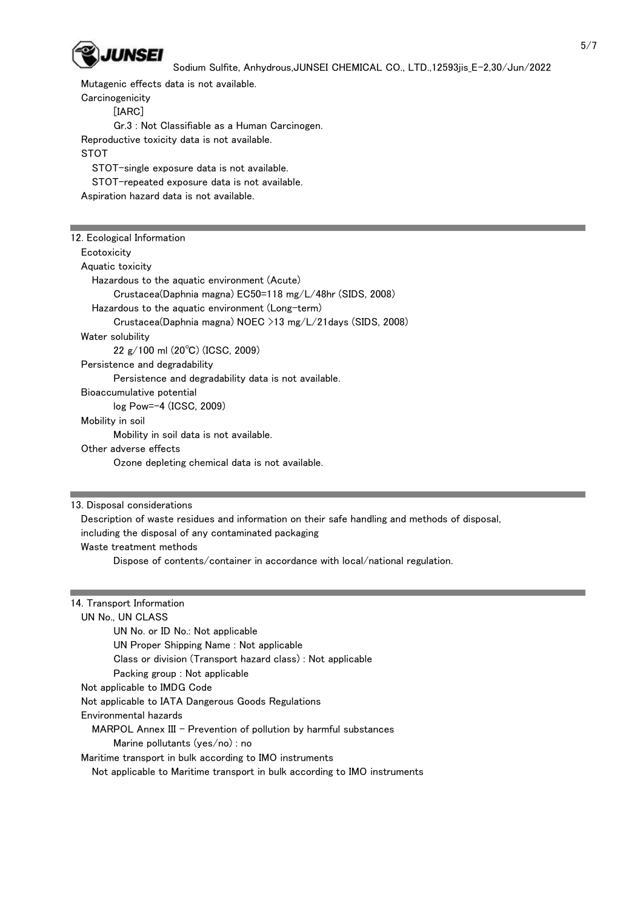

Mutagenic effects data is not available.

**Carcinogenicity**  [IARC] Gr.3 : Not Classifiable as a Human Carcinogen. Reproductive toxicity data is not available. STOT STOT-single exposure data is not available. STOT-repeated exposure data is not available.

Aspiration hazard data is not available.

| 12. Ecological Information                                   |  |
|--------------------------------------------------------------|--|
| Ecotoxicity                                                  |  |
| Aquatic toxicity                                             |  |
| Hazardous to the aquatic environment (Acute)                 |  |
| Crustacea(Daphnia magna) EC50=118 mg/L/48hr (SIDS, 2008)     |  |
| Hazardous to the aquatic environment (Long-term)             |  |
| Crustacea(Daphnia magna) NOEC $>13$ mg/L/21days (SIDS, 2008) |  |
| Water solubility                                             |  |
| $22 \text{ g}/100 \text{ ml}$ (20 $^{\circ}$ C) (ICSC, 2009) |  |
| Persistence and degradability                                |  |
| Persistence and degradability data is not available.         |  |
| Bioaccumulative potential                                    |  |
| $log Pow=-4$ (ICSC, 2009)                                    |  |
| Mobility in soil                                             |  |
| Mobility in soil data is not available.                      |  |
| Other adverse effects                                        |  |
| Ozone depleting chemical data is not available.              |  |
|                                                              |  |

13. Disposal considerations

 Description of waste residues and information on their safe handling and methods of disposal, including the disposal of any contaminated packaging Waste treatment methods

Dispose of contents/container in accordance with local/national regulation.

| 14. Transport Information                                                 |  |
|---------------------------------------------------------------------------|--|
| UN No., UN CLASS                                                          |  |
| UN No. or ID No.: Not applicable                                          |  |
| UN Proper Shipping Name: Not applicable                                   |  |
| Class or division (Transport hazard class): Not applicable                |  |
| Packing group : Not applicable                                            |  |
| Not applicable to IMDG Code                                               |  |
| Not applicable to IATA Dangerous Goods Regulations                        |  |
| Environmental hazards                                                     |  |
| $MAPOL$ Annex III – Prevention of pollution by harmful substances         |  |
| Marine pollutants $(yes/no)$ : no                                         |  |
| Maritime transport in bulk according to IMO instruments                   |  |
| Not applicable to Maritime transport in bulk according to IMO instruments |  |
|                                                                           |  |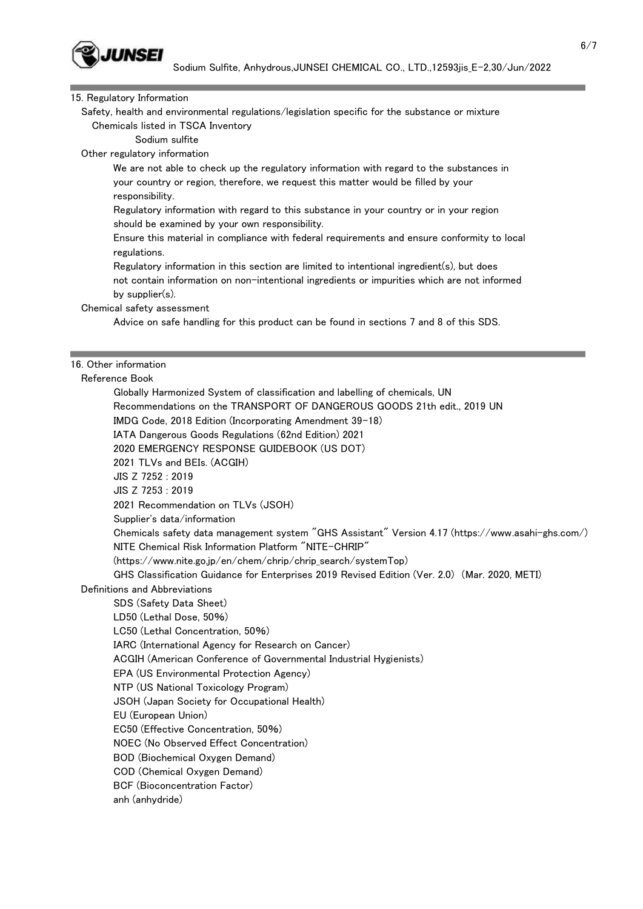

#### 15. Regulatory Information

 Safety, health and environmental regulations/legislation specific for the substance or mixture Chemicals listed in TSCA Inventory

Sodium sulfite

Other regulatory information

 We are not able to check up the regulatory information with regard to the substances in your country or region, therefore, we request this matter would be filled by your responsibility.

 Regulatory information with regard to this substance in your country or in your region should be examined by your own responsibility.

 Ensure this material in compliance with federal requirements and ensure conformity to local regulations.

 Regulatory information in this section are limited to intentional ingredient(s), but does not contain information on non-intentional ingredients or impurities which are not informed by supplier(s).

Chemical safety assessment

Advice on safe handling for this product can be found in sections 7 and 8 of this SDS.

## 16. Other information

Reference Book

 Globally Harmonized System of classification and labelling of chemicals, UN Recommendations on the TRANSPORT OF DANGEROUS GOODS 21th edit., 2019 UN IMDG Code, 2018 Edition (Incorporating Amendment 39-18) IATA Dangerous Goods Regulations (62nd Edition) 2021 2020 EMERGENCY RESPONSE GUIDEBOOK (US DOT) 2021 TLVs and BEIs. (ACGIH) JIS Z 7252 : 2019 JIS Z 7253 : 2019 2021 Recommendation on TLVs (JSOH) Supplier's data/information Chemicals safety data management system "GHS Assistant" Version 4.17 (https://www.asahi-ghs.com/) NITE Chemical Risk Information Platform "NITE-CHRIP" (https://www.nite.go.jp/en/chem/chrip/chrip\_search/systemTop) GHS Classification Guidance for Enterprises 2019 Revised Edition (Ver. 2.0) (Mar. 2020, METI) Definitions and Abbreviations SDS (Safety Data Sheet) LD50 (Lethal Dose, 50%) LC50 (Lethal Concentration, 50%) IARC (International Agency for Research on Cancer) ACGIH (American Conference of Governmental Industrial Hygienists) EPA (US Environmental Protection Agency) NTP (US National Toxicology Program) JSOH (Japan Society for Occupational Health) EU (European Union) EC50 (Effective Concentration, 50%) NOEC (No Observed Effect Concentration) BOD (Biochemical Oxygen Demand) COD (Chemical Oxygen Demand) BCF (Bioconcentration Factor) anh (anhydride)